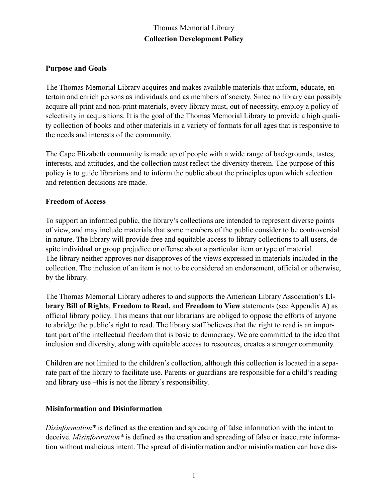### **Purpose and Goals**

The Thomas Memorial Library acquires and makes available materials that inform, educate, entertain and enrich persons as individuals and as members of society. Since no library can possibly acquire all print and non-print materials, every library must, out of necessity, employ a policy of selectivity in acquisitions. It is the goal of the Thomas Memorial Library to provide a high quality collection of books and other materials in a variety of formats for all ages that is responsive to the needs and interests of the community.

The Cape Elizabeth community is made up of people with a wide range of backgrounds, tastes, interests, and attitudes, and the collection must reflect the diversity therein. The purpose of this policy is to guide librarians and to inform the public about the principles upon which selection and retention decisions are made.

### **Freedom of Access**

To support an informed public, the library's collections are intended to represent diverse points of view, and may include materials that some members of the public consider to be controversial in nature. The library will provide free and equitable access to library collections to all users, despite individual or group prejudice or offense about a particular item or type of material. The library neither approves nor disapproves of the views expressed in materials included in the collection. The inclusion of an item is not to be considered an endorsement, official or otherwise, by the library.

The Thomas Memorial Library adheres to and supports the American Library Association's **Library Bill of Rights**, **Freedom to Read,** and **Freedom to View** statements (see Appendix A) as official library policy. This means that our librarians are obliged to oppose the efforts of anyone to abridge the public's right to read. The library staff believes that the right to read is an important part of the intellectual freedom that is basic to democracy. We are committed to the idea that inclusion and diversity, along with equitable access to resources, creates a stronger community.

Children are not limited to the children's collection, although this collection is located in a separate part of the library to facilitate use. Parents or guardians are responsible for a child's reading and library use –this is not the library's responsibility.

### **Misinformation and Disinformation**

*Disinformation\** is defined as the creation and spreading of false information with the intent to deceive. *Misinformation\** is defined as the creation and spreading of false or inaccurate information without malicious intent. The spread of disinformation and/or misinformation can have dis-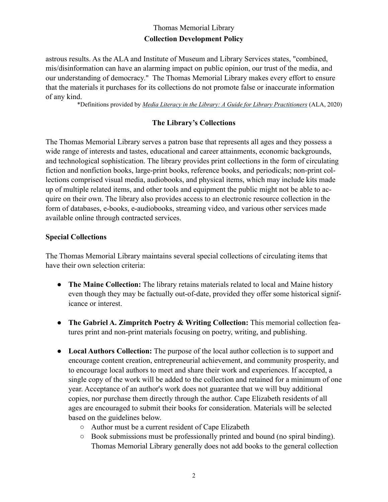astrous results. As the ALA and Institute of Museum and Library Services states, "combined, mis/disinformation can have an alarming impact on public opinion, our trust of the media, and our understanding of democracy." The Thomas Memorial Library makes every effort to ensure that the materials it purchases for its collections do not promote false or inaccurate information of any kind.

\*Definitions provided by *[Media Literacy in the Library: A Guide for Library Practitioners](https://www.ala.org/tools/sites/ala.org.tools/files/content/%252521%252520Media-Lit_Prac-Guide_FINALWEB_112020_0.pdf)* (ALA, 2020)

### **The Library's Collections**

The Thomas Memorial Library serves a patron base that represents all ages and they possess a wide range of interests and tastes, educational and career attainments, economic backgrounds, and technological sophistication. The library provides print collections in the form of circulating fiction and nonfiction books, large-print books, reference books, and periodicals; non-print collections comprised visual media, audiobooks, and physical items, which may include kits made up of multiple related items, and other tools and equipment the public might not be able to acquire on their own. The library also provides access to an electronic resource collection in the form of databases, e-books, e-audiobooks, streaming video, and various other services made available online through contracted services.

### **Special Collections**

The Thomas Memorial Library maintains several special collections of circulating items that have their own selection criteria:

- **The Maine Collection:** The library retains materials related to local and Maine history even though they may be factually out-of-date, provided they offer some historical significance or interest.
- **The Gabriel A. Zimpritch Poetry & Writing Collection:** This memorial collection features print and non-print materials focusing on poetry, writing, and publishing.
- **Local Authors Collection:** The purpose of the local author collection is to support and encourage content creation, entrepreneurial achievement, and community prosperity, and to encourage local authors to meet and share their work and experiences. If accepted, a single copy of the work will be added to the collection and retained for a minimum of one year. Acceptance of an author's work does not guarantee that we will buy additional copies, nor purchase them directly through the author. Cape Elizabeth residents of all ages are encouraged to submit their books for consideration. Materials will be selected based on the guidelines below.
	- Author must be a current resident of Cape Elizabeth
	- Book submissions must be professionally printed and bound (no spiral binding). Thomas Memorial Library generally does not add books to the general collection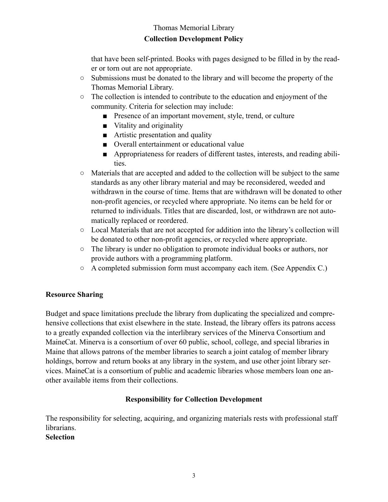that have been self-printed. Books with pages designed to be filled in by the reader or torn out are not appropriate.

- Submissions must be donated to the library and will become the property of the Thomas Memorial Library.
- The collection is intended to contribute to the education and enjoyment of the community. Criteria for selection may include:
	- Presence of an important movement, style, trend, or culture
	- Vitality and originality
	- Artistic presentation and quality
	- Overall entertainment or educational value
	- Appropriateness for readers of different tastes, interests, and reading abilities.
- Materials that are accepted and added to the collection will be subject to the same standards as any other library material and may be reconsidered, weeded and withdrawn in the course of time. Items that are withdrawn will be donated to other non-profit agencies, or recycled where appropriate. No items can be held for or returned to individuals. Titles that are discarded, lost, or withdrawn are not automatically replaced or reordered.
- Local Materials that are not accepted for addition into the library's collection will be donated to other non-profit agencies, or recycled where appropriate.
- The library is under no obligation to promote individual books or authors, nor provide authors with a programming platform.
- A completed submission form must accompany each item. (See Appendix C.)

## **Resource Sharing**

Budget and space limitations preclude the library from duplicating the specialized and comprehensive collections that exist elsewhere in the state. Instead, the library offers its patrons access to a greatly expanded collection via the interlibrary services of the Minerva Consortium and MaineCat. Minerva is a consortium of over 60 public, school, college, and special libraries in Maine that allows patrons of the member libraries to search a joint catalog of member library holdings, borrow and return books at any library in the system, and use other joint library services. MaineCat is a consortium of public and academic libraries whose members loan one another available items from their collections.

## **Responsibility for Collection Development**

The responsibility for selecting, acquiring, and organizing materials rests with professional staff librarians.

### **Selection**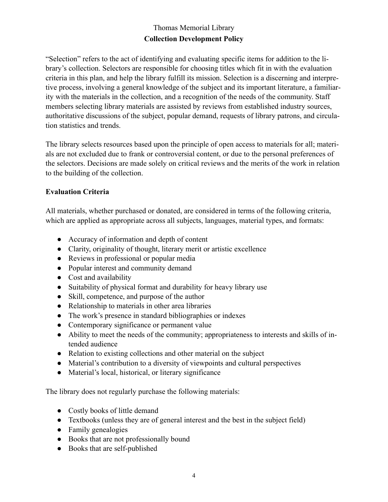"Selection" refers to the act of identifying and evaluating specific items for addition to the library's collection. Selectors are responsible for choosing titles which fit in with the evaluation criteria in this plan, and help the library fulfill its mission. Selection is a discerning and interpretive process, involving a general knowledge of the subject and its important literature, a familiarity with the materials in the collection, and a recognition of the needs of the community. Staff members selecting library materials are assisted by reviews from established industry sources, authoritative discussions of the subject, popular demand, requests of library patrons, and circulation statistics and trends.

The library selects resources based upon the principle of open access to materials for all; materials are not excluded due to frank or controversial content, or due to the personal preferences of the selectors. Decisions are made solely on critical reviews and the merits of the work in relation to the building of the collection.

### **Evaluation Criteria**

All materials, whether purchased or donated, are considered in terms of the following criteria, which are applied as appropriate across all subjects, languages, material types, and formats:

- Accuracy of information and depth of content
- Clarity, originality of thought, literary merit or artistic excellence
- Reviews in professional or popular media
- Popular interest and community demand
- Cost and availability
- Suitability of physical format and durability for heavy library use
- Skill, competence, and purpose of the author
- Relationship to materials in other area libraries
- The work's presence in standard bibliographies or indexes
- Contemporary significance or permanent value
- Ability to meet the needs of the community; appropriateness to interests and skills of intended audience
- Relation to existing collections and other material on the subject
- Material's contribution to a diversity of viewpoints and cultural perspectives
- Material's local, historical, or literary significance

The library does not regularly purchase the following materials:

- Costly books of little demand
- Textbooks (unless they are of general interest and the best in the subject field)
- Family genealogies
- Books that are not professionally bound
- Books that are self-published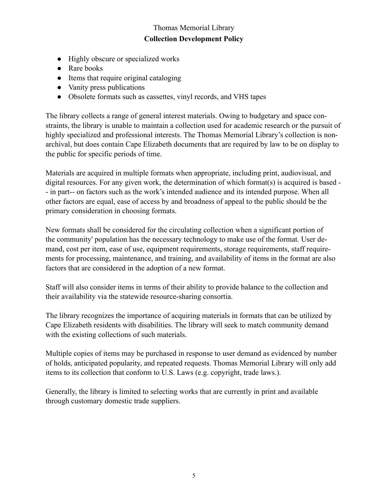- Highly obscure or specialized works
- Rare books
- Items that require original cataloging
- Vanity press publications
- Obsolete formats such as cassettes, vinyl records, and VHS tapes

The library collects a range of general interest materials. Owing to budgetary and space constraints, the library is unable to maintain a collection used for academic research or the pursuit of highly specialized and professional interests. The Thomas Memorial Library's collection is nonarchival, but does contain Cape Elizabeth documents that are required by law to be on display to the public for specific periods of time.

Materials are acquired in multiple formats when appropriate, including print, audiovisual, and digital resources. For any given work, the determination of which format(s) is acquired is based - - in part-- on factors such as the work's intended audience and its intended purpose. When all other factors are equal, ease of access by and broadness of appeal to the public should be the primary consideration in choosing formats.

New formats shall be considered for the circulating collection when a significant portion of the community' population has the necessary technology to make use of the format. User demand, cost per item, ease of use, equipment requirements, storage requirements, staff requirements for processing, maintenance, and training, and availability of items in the format are also factors that are considered in the adoption of a new format.

Staff will also consider items in terms of their ability to provide balance to the collection and their availability via the statewide resource-sharing consortia.

The library recognizes the importance of acquiring materials in formats that can be utilized by Cape Elizabeth residents with disabilities. The library will seek to match community demand with the existing collections of such materials.

Multiple copies of items may be purchased in response to user demand as evidenced by number of holds, anticipated popularity, and repeated requests. Thomas Memorial Library will only add items to its collection that conform to U.S. Laws (e.g. copyright, trade laws.).

Generally, the library is limited to selecting works that are currently in print and available through customary domestic trade suppliers.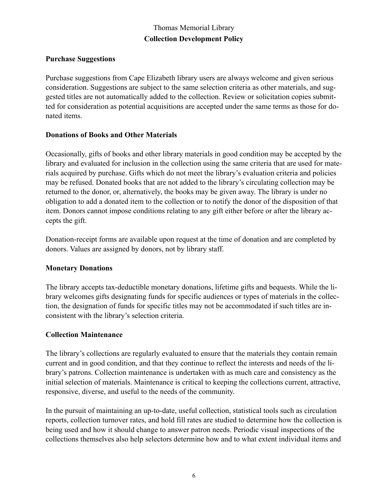### **Purchase Suggestions**

Purchase suggestions from Cape Elizabeth library users are always welcome and given serious consideration. Suggestions are subject to the same selection criteria as other materials, and suggested titles are not automatically added to the collection. Review or solicitation copies submitted for consideration as potential acquisitions are accepted under the same terms as those for donated items.

### **Donations of Books and Other Materials**

Occasionally, gifts of books and other library materials in good condition may be accepted by the library and evaluated for inclusion in the collection using the same criteria that are used for materials acquired by purchase. Gifts which do not meet the library's evaluation criteria and policies may be refused. Donated books that are not added to the library's circulating collection may be returned to the donor, or, alternatively, the books may be given away. The library is under no obligation to add a donated item to the collection or to notify the donor of the disposition of that item. Donors cannot impose conditions relating to any gift either before or after the library accepts the gift.

Donation-receipt forms are available upon request at the time of donation and are completed by donors. Values are assigned by donors, not by library staff.

### **Monetary Donations**

The library accepts tax-deductible monetary donations, lifetime gifts and bequests. While the library welcomes gifts designating funds for specific audiences or types of materials in the collection, the designation of funds for specific titles may not be accommodated if such titles are inconsistent with the library's selection criteria.

### **Collection Maintenance**

The library's collections are regularly evaluated to ensure that the materials they contain remain current and in good condition, and that they continue to reflect the interests and needs of the library's patrons. Collection maintenance is undertaken with as much care and consistency as the initial selection of materials. Maintenance is critical to keeping the collections current, attractive, responsive, diverse, and useful to the needs of the community.

In the pursuit of maintaining an up-to-date, useful collection, statistical tools such as circulation reports, collection turnover rates, and hold fill rates are studied to determine how the collection is being used and how it should change to answer patron needs. Periodic visual inspections of the collections themselves also help selectors determine how and to what extent individual items and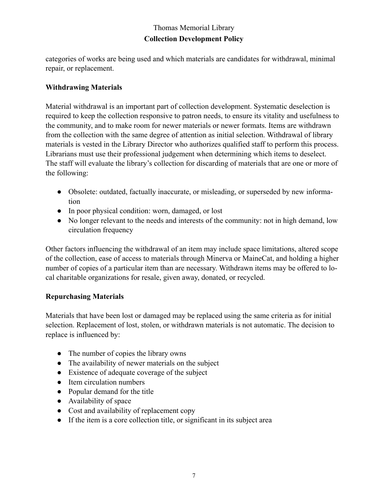categories of works are being used and which materials are candidates for withdrawal, minimal repair, or replacement.

### **Withdrawing Materials**

Material withdrawal is an important part of collection development. Systematic deselection is required to keep the collection responsive to patron needs, to ensure its vitality and usefulness to the community, and to make room for newer materials or newer formats. Items are withdrawn from the collection with the same degree of attention as initial selection. Withdrawal of library materials is vested in the Library Director who authorizes qualified staff to perform this process. Librarians must use their professional judgement when determining which items to deselect. The staff will evaluate the library's collection for discarding of materials that are one or more of the following:

- Obsolete: outdated, factually inaccurate, or misleading, or superseded by new information
- In poor physical condition: worn, damaged, or lost
- No longer relevant to the needs and interests of the community: not in high demand, low circulation frequency

Other factors influencing the withdrawal of an item may include space limitations, altered scope of the collection, ease of access to materials through Minerva or MaineCat, and holding a higher number of copies of a particular item than are necessary. Withdrawn items may be offered to local charitable organizations for resale, given away, donated, or recycled.

### **Repurchasing Materials**

Materials that have been lost or damaged may be replaced using the same criteria as for initial selection. Replacement of lost, stolen, or withdrawn materials is not automatic. The decision to replace is influenced by:

- The number of copies the library owns
- The availability of newer materials on the subject
- Existence of adequate coverage of the subject
- Item circulation numbers
- Popular demand for the title
- Availability of space
- Cost and availability of replacement copy
- If the item is a core collection title, or significant in its subject area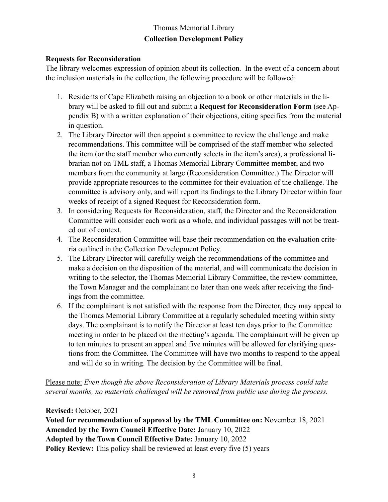### **Requests for Reconsideration**

The library welcomes expression of opinion about its collection. In the event of a concern about the inclusion materials in the collection, the following procedure will be followed:

- 1. Residents of Cape Elizabeth raising an objection to a book or other materials in the library will be asked to fill out and submit a **Request for Reconsideration Form** (see Appendix B) with a written explanation of their objections, citing specifics from the material in question.
- 2. The Library Director will then appoint a committee to review the challenge and make recommendations. This committee will be comprised of the staff member who selected the item (or the staff member who currently selects in the item's area), a professional librarian not on TML staff, a Thomas Memorial Library Committee member, and two members from the community at large (Reconsideration Committee.) The Director will provide appropriate resources to the committee for their evaluation of the challenge. The committee is advisory only, and will report its findings to the Library Director within four weeks of receipt of a signed Request for Reconsideration form.
- 3. In considering Requests for Reconsideration, staff, the Director and the Reconsideration Committee will consider each work as a whole, and individual passages will not be treated out of context.
- 4. The Reconsideration Committee will base their recommendation on the evaluation criteria outlined in the Collection Development Policy.
- 5. The Library Director will carefully weigh the recommendations of the committee and make a decision on the disposition of the material, and will communicate the decision in writing to the selector, the Thomas Memorial Library Committee, the review committee, the Town Manager and the complainant no later than one week after receiving the findings from the committee.
- 6. If the complainant is not satisfied with the response from the Director, they may appeal to the Thomas Memorial Library Committee at a regularly scheduled meeting within sixty days. The complainant is to notify the Director at least ten days prior to the Committee meeting in order to be placed on the meeting's agenda. The complainant will be given up to ten minutes to present an appeal and five minutes will be allowed for clarifying questions from the Committee. The Committee will have two months to respond to the appeal and will do so in writing. The decision by the Committee will be final.

Please note: *Even though the above Reconsideration of Library Materials process could take several months, no materials challenged will be removed from public use during the process.*

### **Revised:** October, 2021

**Voted for recommendation of approval by the TML Committee on:** November 18, 2021 **Amended by the Town Council Effective Date:** January 10, 2022 **Adopted by the Town Council Effective Date:** January 10, 2022 **Policy Review:** This policy shall be reviewed at least every five (5) years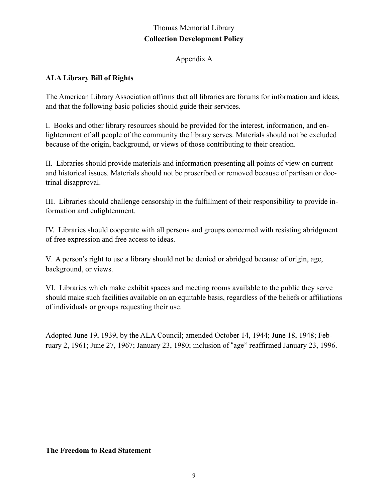Appendix A

### **ALA Library Bill of Rights**

The American Library Association affirms that all libraries are forums for information and ideas, and that the following basic policies should guide their services.

I. Books and other library resources should be provided for the interest, information, and enlightenment of all people of the community the library serves. Materials should not be excluded because of the origin, background, or views of those contributing to their creation.

II. Libraries should provide materials and information presenting all points of view on current and historical issues. Materials should not be proscribed or removed because of partisan or doctrinal disapproval.

III. Libraries should challenge censorship in the fulfillment of their responsibility to provide information and enlightenment.

IV. Libraries should cooperate with all persons and groups concerned with resisting abridgment of free expression and free access to ideas.

V. A person"s right to use a library should not be denied or abridged because of origin, age, background, or views.

VI. Libraries which make exhibit spaces and meeting rooms available to the public they serve should make such facilities available on an equitable basis, regardless of the beliefs or affiliations of individuals or groups requesting their use.

Adopted June 19, 1939, by the ALA Council; amended October 14, 1944; June 18, 1948; February 2, 1961; June 27, 1967; January 23, 1980; inclusion of #age" reaffirmed January 23, 1996.

#### **The Freedom to Read Statement**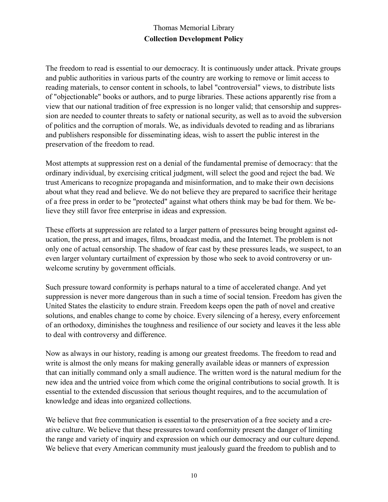The freedom to read is essential to our democracy. It is continuously under attack. Private groups and public authorities in various parts of the country are working to remove or limit access to reading materials, to censor content in schools, to label "controversial" views, to distribute lists of "objectionable" books or authors, and to purge libraries. These actions apparently rise from a view that our national tradition of free expression is no longer valid; that censorship and suppression are needed to counter threats to safety or national security, as well as to avoid the subversion of politics and the corruption of morals. We, as individuals devoted to reading and as librarians and publishers responsible for disseminating ideas, wish to assert the public interest in the preservation of the freedom to read.

Most attempts at suppression rest on a denial of the fundamental premise of democracy: that the ordinary individual, by exercising critical judgment, will select the good and reject the bad. We trust Americans to recognize propaganda and misinformation, and to make their own decisions about what they read and believe. We do not believe they are prepared to sacrifice their heritage of a free press in order to be "protected" against what others think may be bad for them. We believe they still favor free enterprise in ideas and expression.

These efforts at suppression are related to a larger pattern of pressures being brought against education, the press, art and images, films, broadcast media, and the Internet. The problem is not only one of actual censorship. The shadow of fear cast by these pressures leads, we suspect, to an even larger voluntary curtailment of expression by those who seek to avoid controversy or unwelcome scrutiny by government officials.

Such pressure toward conformity is perhaps natural to a time of accelerated change. And yet suppression is never more dangerous than in such a time of social tension. Freedom has given the United States the elasticity to endure strain. Freedom keeps open the path of novel and creative solutions, and enables change to come by choice. Every silencing of a heresy, every enforcement of an orthodoxy, diminishes the toughness and resilience of our society and leaves it the less able to deal with controversy and difference.

Now as always in our history, reading is among our greatest freedoms. The freedom to read and write is almost the only means for making generally available ideas or manners of expression that can initially command only a small audience. The written word is the natural medium for the new idea and the untried voice from which come the original contributions to social growth. It is essential to the extended discussion that serious thought requires, and to the accumulation of knowledge and ideas into organized collections.

We believe that free communication is essential to the preservation of a free society and a creative culture. We believe that these pressures toward conformity present the danger of limiting the range and variety of inquiry and expression on which our democracy and our culture depend. We believe that every American community must jealously guard the freedom to publish and to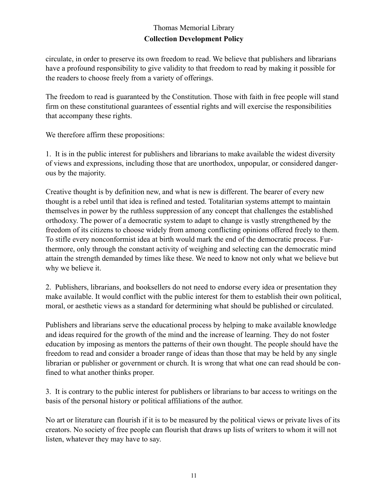circulate, in order to preserve its own freedom to read. We believe that publishers and librarians have a profound responsibility to give validity to that freedom to read by making it possible for the readers to choose freely from a variety of offerings.

The freedom to read is guaranteed by the Constitution. Those with faith in free people will stand firm on these constitutional guarantees of essential rights and will exercise the responsibilities that accompany these rights.

We therefore affirm these propositions:

1. It is in the public interest for publishers and librarians to make available the widest diversity of views and expressions, including those that are unorthodox, unpopular, or considered dangerous by the majority.

Creative thought is by definition new, and what is new is different. The bearer of every new thought is a rebel until that idea is refined and tested. Totalitarian systems attempt to maintain themselves in power by the ruthless suppression of any concept that challenges the established orthodoxy. The power of a democratic system to adapt to change is vastly strengthened by the freedom of its citizens to choose widely from among conflicting opinions offered freely to them. To stifle every nonconformist idea at birth would mark the end of the democratic process. Furthermore, only through the constant activity of weighing and selecting can the democratic mind attain the strength demanded by times like these. We need to know not only what we believe but why we believe it.

2. Publishers, librarians, and booksellers do not need to endorse every idea or presentation they make available. It would conflict with the public interest for them to establish their own political, moral, or aesthetic views as a standard for determining what should be published or circulated.

Publishers and librarians serve the educational process by helping to make available knowledge and ideas required for the growth of the mind and the increase of learning. They do not foster education by imposing as mentors the patterns of their own thought. The people should have the freedom to read and consider a broader range of ideas than those that may be held by any single librarian or publisher or government or church. It is wrong that what one can read should be confined to what another thinks proper.

3. It is contrary to the public interest for publishers or librarians to bar access to writings on the basis of the personal history or political affiliations of the author.

No art or literature can flourish if it is to be measured by the political views or private lives of its creators. No society of free people can flourish that draws up lists of writers to whom it will not listen, whatever they may have to say.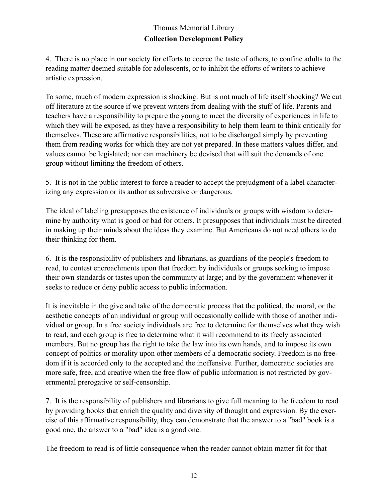4. There is no place in our society for efforts to coerce the taste of others, to confine adults to the reading matter deemed suitable for adolescents, or to inhibit the efforts of writers to achieve artistic expression.

To some, much of modern expression is shocking. But is not much of life itself shocking? We cut off literature at the source if we prevent writers from dealing with the stuff of life. Parents and teachers have a responsibility to prepare the young to meet the diversity of experiences in life to which they will be exposed, as they have a responsibility to help them learn to think critically for themselves. These are affirmative responsibilities, not to be discharged simply by preventing them from reading works for which they are not yet prepared. In these matters values differ, and values cannot be legislated; nor can machinery be devised that will suit the demands of one group without limiting the freedom of others.

5. It is not in the public interest to force a reader to accept the prejudgment of a label characterizing any expression or its author as subversive or dangerous.

The ideal of labeling presupposes the existence of individuals or groups with wisdom to determine by authority what is good or bad for others. It presupposes that individuals must be directed in making up their minds about the ideas they examine. But Americans do not need others to do their thinking for them.

6. It is the responsibility of publishers and librarians, as guardians of the people's freedom to read, to contest encroachments upon that freedom by individuals or groups seeking to impose their own standards or tastes upon the community at large; and by the government whenever it seeks to reduce or deny public access to public information.

It is inevitable in the give and take of the democratic process that the political, the moral, or the aesthetic concepts of an individual or group will occasionally collide with those of another individual or group. In a free society individuals are free to determine for themselves what they wish to read, and each group is free to determine what it will recommend to its freely associated members. But no group has the right to take the law into its own hands, and to impose its own concept of politics or morality upon other members of a democratic society. Freedom is no freedom if it is accorded only to the accepted and the inoffensive. Further, democratic societies are more safe, free, and creative when the free flow of public information is not restricted by governmental prerogative or self-censorship.

7. It is the responsibility of publishers and librarians to give full meaning to the freedom to read by providing books that enrich the quality and diversity of thought and expression. By the exercise of this affirmative responsibility, they can demonstrate that the answer to a "bad" book is a good one, the answer to a "bad" idea is a good one.

The freedom to read is of little consequence when the reader cannot obtain matter fit for that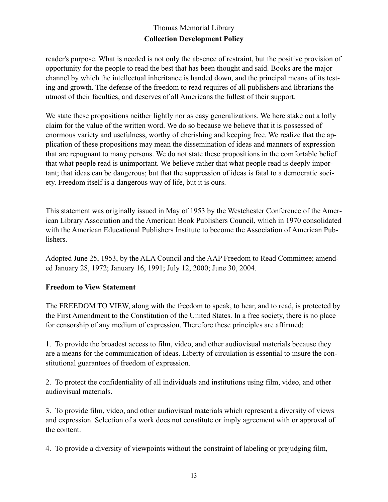reader's purpose. What is needed is not only the absence of restraint, but the positive provision of opportunity for the people to read the best that has been thought and said. Books are the major channel by which the intellectual inheritance is handed down, and the principal means of its testing and growth. The defense of the freedom to read requires of all publishers and librarians the utmost of their faculties, and deserves of all Americans the fullest of their support.

We state these propositions neither lightly nor as easy generalizations. We here stake out a lofty claim for the value of the written word. We do so because we believe that it is possessed of enormous variety and usefulness, worthy of cherishing and keeping free. We realize that the application of these propositions may mean the dissemination of ideas and manners of expression that are repugnant to many persons. We do not state these propositions in the comfortable belief that what people read is unimportant. We believe rather that what people read is deeply important; that ideas can be dangerous; but that the suppression of ideas is fatal to a democratic society. Freedom itself is a dangerous way of life, but it is ours.

This statement was originally issued in May of 1953 by the Westchester Conference of the American Library Association and the American Book Publishers Council, which in 1970 consolidated with the American Educational Publishers Institute to become the Association of American Publishers.

Adopted June 25, 1953, by the ALA Council and the AAP Freedom to Read Committee; amended January 28, 1972; January 16, 1991; July 12, 2000; June 30, 2004.

### **Freedom to View Statement**

The FREEDOM TO VIEW, along with the freedom to speak, to hear, and to read, is protected by the First Amendment to the Constitution of the United States. In a free society, there is no place for censorship of any medium of expression. Therefore these principles are affirmed:

1. To provide the broadest access to film, video, and other audiovisual materials because they are a means for the communication of ideas. Liberty of circulation is essential to insure the constitutional guarantees of freedom of expression.

2. To protect the confidentiality of all individuals and institutions using film, video, and other audiovisual materials.

3. To provide film, video, and other audiovisual materials which represent a diversity of views and expression. Selection of a work does not constitute or imply agreement with or approval of the content.

4. To provide a diversity of viewpoints without the constraint of labeling or prejudging film,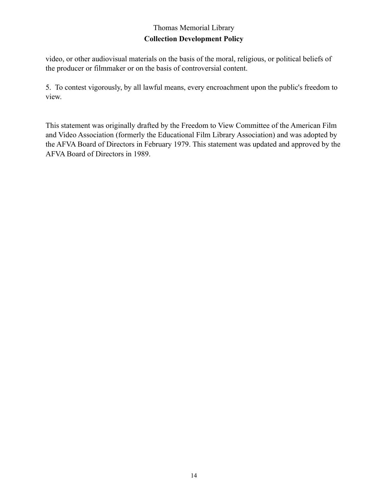video, or other audiovisual materials on the basis of the moral, religious, or political beliefs of the producer or filmmaker or on the basis of controversial content.

5. To contest vigorously, by all lawful means, every encroachment upon the public's freedom to view.

This statement was originally drafted by the Freedom to View Committee of the American Film and Video Association (formerly the Educational Film Library Association) and was adopted by the AFVA Board of Directors in February 1979. This statement was updated and approved by the AFVA Board of Directors in 1989.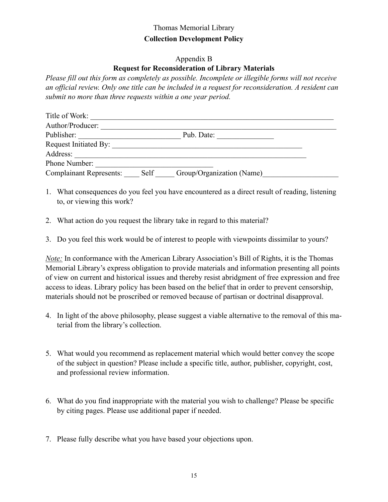#### Appendix B **Request for Reconsideration of Library Materials**

*Please fill out this form as completely as possible. Incomplete or illegible forms will not receive an official review. Only one title can be included in a request for reconsideration. A resident can submit no more than three requests within a one year period.*

| Title of Work:                 |      |                           |  |
|--------------------------------|------|---------------------------|--|
| Author/Producer:               |      |                           |  |
| Publisher:                     |      | Pub. Date:                |  |
| Request Initiated By:          |      |                           |  |
| Address:                       |      |                           |  |
| Phone Number:                  |      |                           |  |
| <b>Complainant Represents:</b> | Self | Group/Organization (Name) |  |

- 1. What consequences do you feel you have encountered as a direct result of reading, listening to, or viewing this work?
- 2. What action do you request the library take in regard to this material?
- 3. Do you feel this work would be of interest to people with viewpoints dissimilar to yours?

*Note:* In conformance with the American Library Association's Bill of Rights, it is the Thomas Memorial Library's express obligation to provide materials and information presenting all points of view on current and historical issues and thereby resist abridgment of free expression and free access to ideas. Library policy has been based on the belief that in order to prevent censorship, materials should not be proscribed or removed because of partisan or doctrinal disapproval.

- 4. In light of the above philosophy, please suggest a viable alternative to the removal of this material from the library's collection.
- 5. What would you recommend as replacement material which would better convey the scope of the subject in question? Please include a specific title, author, publisher, copyright, cost, and professional review information.
- 6. What do you find inappropriate with the material you wish to challenge? Please be specific by citing pages. Please use additional paper if needed.
- 7. Please fully describe what you have based your objections upon.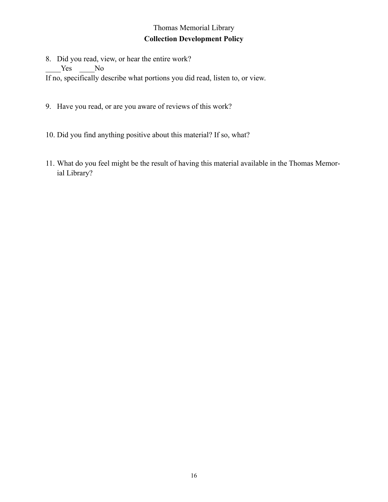- 8. Did you read, view, or hear the entire work? Yes No If no, specifically describe what portions you did read, listen to, or view.
- 9. Have you read, or are you aware of reviews of this work?
- 10. Did you find anything positive about this material? If so, what?
- 11. What do you feel might be the result of having this material available in the Thomas Memorial Library?